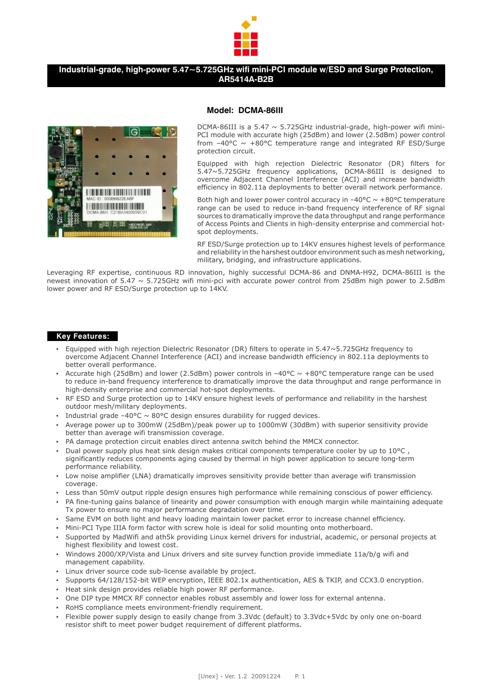

# **Industrial-grade, high-power 5.47~5.725GHz wifi mini-PCI module w/ESD and Surge Protection, AR5414A-B2B**



#### **Model: DCMA-86III**

DCMA-86III is a 5.47  $\sim$  5.725GHz industrial-grade, high-power wifi mini-PCI module with accurate high (25dBm) and lower (2.5dBm) power control from  $-40^{\circ}$ C  $\sim$   $+80^{\circ}$ C temperature range and integrated RF ESD/Surge protection circuit.

Equipped with high rejection Dielectric Resonator (DR) filters for 5.47~5.725GHz frequency applications, DCMA-86III is designed to overcome Adjacent Channel Interference (ACI) and increase bandwidth efficiency in 802.11a deployments to better overall network performance.

Both high and lower power control accuracy in  $-40^{\circ}$ C  $\sim +80^{\circ}$ C temperature range can be used to reduce in-band frequency interference of RF signal sources to dramatically improve the data throughput and range performance of Access Points and Clients in high-density enterprise and commercial hotspot deployments.

RF ESD/Surge protection up to 14KV ensures highest levels of performance and reliability in the harshest outdoor environment such as mesh networking, military, bridging, and infrastructure applications.

Leveraging RF expertise, continuous RD innovation, highly successful DCMA-86 and DNMA-H92, DCMA-86III is the newest innovation of 5.47 ~ 5.725GHz wifi mini-pci with accurate power control from 25dBm high power to 2.5dBm lower power and RF ESD/Surge protection up to 14KV.

#### **Key Features:**

- Equipped with high rejection Dielectric Resonator (DR) filters to operate in 5.47~5.725GHz frequency to overcome Adjacent Channel Interference (ACI) and increase bandwidth efficiency in 802.11a deployments to better overall performance.
- Accurate high (25dBm) and lower (2.5dBm) power controls in  $-40^{\circ}C \sim +80^{\circ}C$  temperature range can be used to reduce in-band frequency interference to dramatically improve the data throughput and range performance in high-density enterprise and commercial hot-spot deployments.
- RF ESD and Surge protection up to 14KV ensure highest levels of performance and reliability in the harshest outdoor mesh/military deployments.
- **•** Industrial grade  $-40^{\circ}$ C  $\sim$  80°C design ensures durability for rugged devices.
- Average power up to 300mW (25dBm)/peak power up to 1000mW (30dBm) with superior sensitivity provide better than average wifi transmission coverage.
- PA damage protection circuit enables direct antenna switch behind the MMCX connector.
- Dual power supply plus heat sink design makes critical components temperature cooler by up to 10°C , significantly reduces components aging caused by thermal in high power application to secure long-term performance reliability.
- Low noise amplifier (LNA) dramatically improves sensitivity provide better than average wifi transmission coverage.
- Less than 50mV output ripple design ensures high performance while remaining conscious of power efficiency.
- PA fine-tuning gains balance of linearity and power consumption with enough margin while maintaining adequate Tx power to ensure no major performance degradation over time.
- Same EVM on both light and heavy loading maintain lower packet error to increase channel efficiency.
- Mini-PCI Type IIIA form factor with screw hole is ideal for solid mounting onto motherboard.
- Supported by MadWifi and ath5k providing Linux kernel drivers for industrial, academic, or personal projects at highest flexibility and lowest cost.
- Windows 2000/XP/Vista and Linux drivers and site survey function provide immediate 11a/b/g wifi and management capability.
- Linux driver source code sub-license available by project.
- Supports 64/128/152-bit WEP encryption, IEEE 802.1x authentication, AES & TKIP, and CCX3.0 encryption.
- Heat sink design provides reliable high power RF performance.
- One DIP type MMCX RF connector enables robust assembly and lower loss for external antenna.
- RoHS compliance meets environment-friendly requirement.
- Flexible power supply design to easily change from 3.3Vdc (default) to 3.3Vdc+5Vdc by only one on-board resistor shift to meet power budget requirement of different platforms.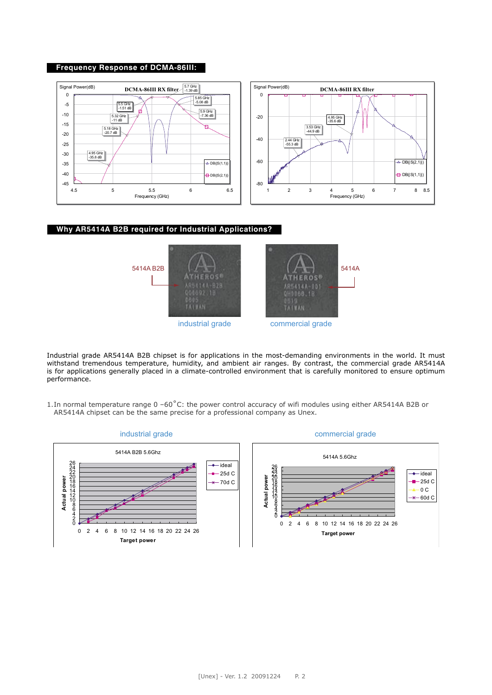#### **Frequency Response of DCMA-86III:**



## **Why AR5414A B2B required for Industrial Applications?**



Industrial grade AR5414A B2B chipset is for applications in the most-demanding environments in the world. It must withstand tremendous temperature, humidity, and ambient air ranges. By contrast, the commercial grade AR5414A is for applications generally placed in a climate-controlled environment that is carefully monitored to ensure optimum performance.

1. In normal temperature range 0 –60˚C: the power control accuracy of wifi modules using either AR5414A B2B or AR5414A chipset can be the same precise for a professional company as Unex.

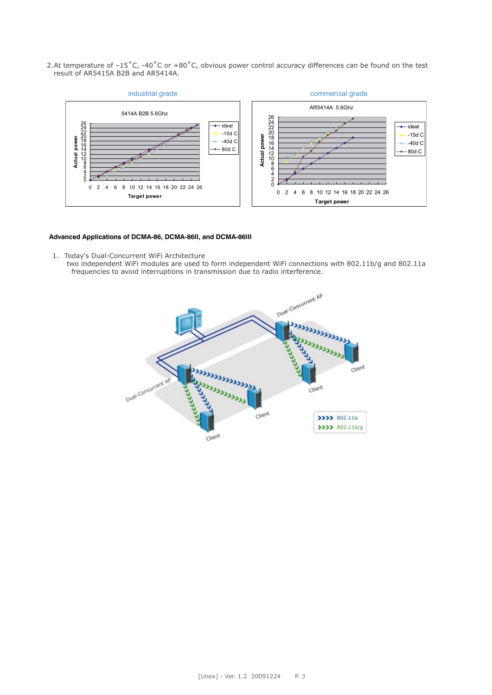2. At temperature of –15˚C, -40˚C or +80˚C, obvious power control accuracy differences can be found on the test result of AR5415A B2B and AR5414A.



### **Advanced Applications of DCMA-86, DCMA-86II, and DCMA-86III**

- 1. Today's Dual-Concurrent WiFi Architecture
	- two independent WiFi modules are used to form independent WiFi connections with 802.11b/g and 802.11a frequencies to avoid interruptions in transmission due to radio interference.

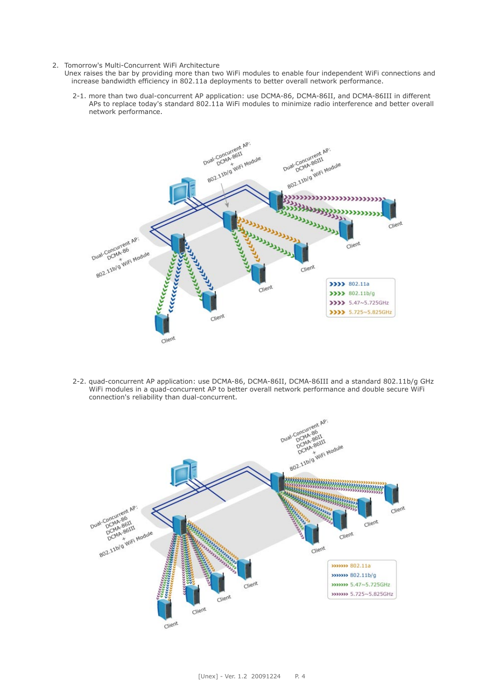- 2. Tomorrow's Multi-Concurrent WiFi Architecture
	- Unex raises the bar by providing more than two WiFi modules to enable four independent WiFi connections and increase bandwidth efficiency in 802.11a deployments to better overall network performance.
		- 2-1. more than two dual-concurrent AP application: use DCMA-86, DCMA-86II, and DCMA-86III in different APs to replace today's standard 802.11a WiFi modules to minimize radio interference and better overall network performance.



2-2. quad-concurrent AP application: use DCMA-86, DCMA-86II, DCMA-86III and a standard 802.11b/g GHz WiFi modules in a quad-concurrent AP to better overall network performance and double secure WiFi connection's reliability than dual-concurrent.

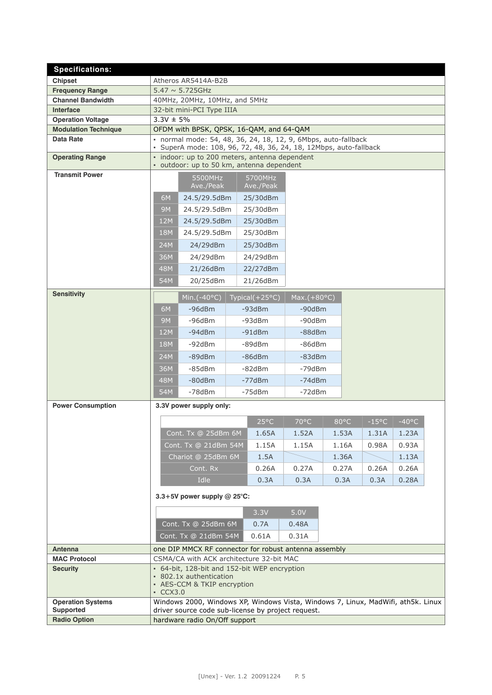| <b>Specifications:</b>                       |                                                                                                                                        |                                                       |                      |                    |                  |  |                |                 |                 |  |
|----------------------------------------------|----------------------------------------------------------------------------------------------------------------------------------------|-------------------------------------------------------|----------------------|--------------------|------------------|--|----------------|-----------------|-----------------|--|
| <b>Chipset</b>                               | Atheros AR5414A-B2B                                                                                                                    |                                                       |                      |                    |                  |  |                |                 |                 |  |
| <b>Frequency Range</b>                       | $5.47 \sim 5.725$ GHz                                                                                                                  |                                                       |                      |                    |                  |  |                |                 |                 |  |
| <b>Channel Bandwidth</b>                     | 40MHz, 20MHz, 10MHz, and 5MHz                                                                                                          |                                                       |                      |                    |                  |  |                |                 |                 |  |
| Interface                                    | 32-bit mini-PCI Type IIIA                                                                                                              |                                                       |                      |                    |                  |  |                |                 |                 |  |
| <b>Operation Voltage</b>                     | $3.3V \pm 5%$                                                                                                                          |                                                       |                      |                    |                  |  |                |                 |                 |  |
| <b>Modulation Technique</b>                  | OFDM with BPSK, QPSK, 16-QAM, and 64-QAM                                                                                               |                                                       |                      |                    |                  |  |                |                 |                 |  |
| <b>Data Rate</b>                             | · normal mode: 54, 48, 36, 24, 18, 12, 9, 6Mbps, auto-fallback<br>· SuperA mode: 108, 96, 72, 48, 36, 24, 18, 12Mbps, auto-fallback    |                                                       |                      |                    |                  |  |                |                 |                 |  |
| <b>Operating Range</b>                       | · indoor: up to 200 meters, antenna dependent<br>· outdoor: up to 50 km, antenna dependent                                             |                                                       |                      |                    |                  |  |                |                 |                 |  |
| <b>Transmit Power</b>                        |                                                                                                                                        | 5500MHz                                               |                      | 5700MHz            |                  |  |                |                 |                 |  |
|                                              |                                                                                                                                        | Ave./Peak                                             |                      | Ave./Peak          |                  |  |                |                 |                 |  |
|                                              | 6M                                                                                                                                     | 24.5/29.5dBm                                          |                      | 25/30dBm           |                  |  |                |                 |                 |  |
|                                              | <b>9M</b>                                                                                                                              | 24.5/29.5dBm                                          |                      | 25/30dBm           |                  |  |                |                 |                 |  |
|                                              | 12M                                                                                                                                    | 24.5/29.5dBm                                          |                      | 25/30dBm           |                  |  |                |                 |                 |  |
|                                              | <b>18M</b>                                                                                                                             | 24.5/29.5dBm                                          |                      | 25/30dBm           |                  |  |                |                 |                 |  |
|                                              | 24M                                                                                                                                    | 24/29dBm                                              |                      | 25/30dBm           |                  |  |                |                 |                 |  |
|                                              | 36M                                                                                                                                    | 24/29dBm                                              |                      | 24/29dBm           |                  |  |                |                 |                 |  |
|                                              | 48M                                                                                                                                    | 21/26dBm                                              |                      | 22/27dBm           |                  |  |                |                 |                 |  |
|                                              | 54M                                                                                                                                    | 20/25dBm                                              |                      | 21/26dBm           |                  |  |                |                 |                 |  |
| <b>Sensitivity</b>                           |                                                                                                                                        |                                                       |                      |                    | $Max.(+80°C)$    |  |                |                 |                 |  |
|                                              |                                                                                                                                        | Min.( $-40^{\circ}$ C)                                |                      | Typical $(+25°C)$  |                  |  |                |                 |                 |  |
|                                              | 6M                                                                                                                                     | $-96dBr$                                              |                      | $-93dBm$           | -90dBm           |  |                |                 |                 |  |
|                                              | <b>9M</b>                                                                                                                              | $-96$ d $Bm$                                          |                      | $-93dBm$           | -90dBm           |  |                |                 |                 |  |
|                                              | 12M                                                                                                                                    | $-94dBm$                                              |                      | $-91dBm$           | -88dBm           |  |                |                 |                 |  |
|                                              | <b>18M</b>                                                                                                                             | $-92dBm$                                              |                      | -89dBm             | $-86dBm$         |  |                |                 |                 |  |
|                                              | 24M<br>36M                                                                                                                             | -85dBm                                                | $-89dBr$<br>$-86dBm$ |                    | -83dBm<br>-79dBm |  |                |                 |                 |  |
|                                              | 48M                                                                                                                                    | $-80dBm$                                              |                      | -82dBm<br>$-77dBr$ | $-74dBm$         |  |                |                 |                 |  |
|                                              | 54M                                                                                                                                    | -78dBm                                                |                      | $-75dBm$           | $-72dBm$         |  |                |                 |                 |  |
| <b>Power Consumption</b>                     |                                                                                                                                        | 3.3V power supply only:                               |                      |                    |                  |  |                |                 |                 |  |
|                                              |                                                                                                                                        |                                                       |                      |                    |                  |  |                |                 |                 |  |
|                                              |                                                                                                                                        |                                                       |                      | $25^{\circ}$ C     | 70°C             |  | $80^{\circ}$ C | $-15^{\circ}$ C | $-40^{\circ}$ C |  |
|                                              |                                                                                                                                        | Cont. Tx @ 25dBm 6M                                   |                      | 1.65A              | 1.52A            |  | 1.53A          | 1.31A           | 1.23A           |  |
|                                              |                                                                                                                                        | Cont. Tx @ 21dBm 54M                                  |                      | 1.15A              | 1.15A            |  | 1.16A          | 0.98A           | 0.93A           |  |
|                                              |                                                                                                                                        | Chariot @ 25dBm 6M                                    |                      | 1.5A               |                  |  | 1.36A          |                 | 1.13A           |  |
|                                              |                                                                                                                                        | Cont. Rx                                              |                      | 0.26A              | 0.27A            |  | 0.27A          | 0.26A           | 0.26A           |  |
|                                              |                                                                                                                                        | Idle                                                  |                      | 0.3A               | 0.3A             |  | 0.3A           | 0.3A            | 0.28A           |  |
|                                              | 3.3+5V power supply $@$ 25°C:                                                                                                          |                                                       |                      |                    |                  |  |                |                 |                 |  |
|                                              |                                                                                                                                        |                                                       |                      | 3.3V               | 5.0V             |  |                |                 |                 |  |
|                                              |                                                                                                                                        | Cont. Tx @ 25dBm 6M                                   |                      |                    |                  |  |                |                 |                 |  |
|                                              |                                                                                                                                        |                                                       |                      | 0.7A               | 0.48A            |  |                |                 |                 |  |
|                                              |                                                                                                                                        | Cont. Tx @ 21dBm 54M                                  |                      | 0.61A              | 0.31A            |  |                |                 |                 |  |
| <b>Antenna</b>                               |                                                                                                                                        | one DIP MMCX RF connector for robust antenna assembly |                      |                    |                  |  |                |                 |                 |  |
| <b>MAC Protocol</b><br><b>Security</b>       |                                                                                                                                        | CSMA/CA with ACK architecture 32-bit MAC              |                      |                    |                  |  |                |                 |                 |  |
|                                              | • 64-bit, 128-bit and 152-bit WEP encryption<br>• 802.1x authentication<br>• AES-CCM & TKIP encryption<br>$\cdot$ CCX3.0               |                                                       |                      |                    |                  |  |                |                 |                 |  |
| <b>Operation Systems</b><br><b>Supported</b> | Windows 2000, Windows XP, Windows Vista, Windows 7, Linux, MadWifi, ath5k. Linux<br>driver source code sub-license by project request. |                                                       |                      |                    |                  |  |                |                 |                 |  |
| <b>Radio Option</b>                          |                                                                                                                                        | hardware radio On/Off support                         |                      |                    |                  |  |                |                 |                 |  |